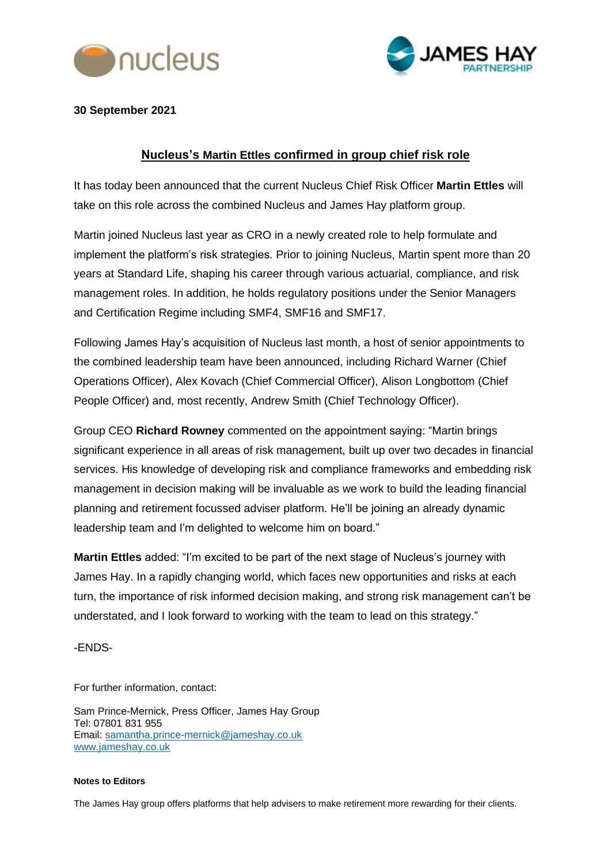



**30 September 2021**

## **Nucleus's Martin Ettles confirmed in group chief risk role**

It has today been announced that the current Nucleus Chief Risk Officer **Martin Ettles** will take on this role across the combined Nucleus and James Hay platform group.

Martin joined Nucleus last year as CRO in a newly created role to help formulate and implement the platform's risk strategies. Prior to joining Nucleus, Martin spent more than 20 years at Standard Life, shaping his career through various actuarial, compliance, and risk management roles. In addition, he holds regulatory positions under the Senior Managers and Certification Regime including SMF4, SMF16 and SMF17.

Following James Hay's acquisition of Nucleus last month, a host of senior appointments to the combined leadership team have been announced, including Richard Warner (Chief Operations Officer), Alex Kovach (Chief Commercial Officer), Alison Longbottom (Chief People Officer) and, most recently, Andrew Smith (Chief Technology Officer).

Group CEO **Richard Rowney** commented on the appointment saying: "Martin brings significant experience in all areas of risk management, built up over two decades in financial services. His knowledge of developing risk and compliance frameworks and embedding risk management in decision making will be invaluable as we work to build the leading financial planning and retirement focussed adviser platform. He'll be joining an already dynamic leadership team and I'm delighted to welcome him on board."

**Martin Ettles** added: "I'm excited to be part of the next stage of Nucleus's journey with James Hay. In a rapidly changing world, which faces new opportunities and risks at each turn, the importance of risk informed decision making, and strong risk management can't be understated, and I look forward to working with the team to lead on this strategy."

-ENDS-

For further information, contact:

Sam Prince-Mernick, Press Officer, James Hay Group Tel: 07801 831 955 Email: [samantha.prince-mernick@jameshay.co.uk](mailto:samantha.prince-mernick@jameshay.co.uk) [www.jameshay.co.uk](http://www.jameshay.co.uk/)

## **Notes to Editors**

The James Hay group offers platforms that help advisers to make retirement more rewarding for their clients.